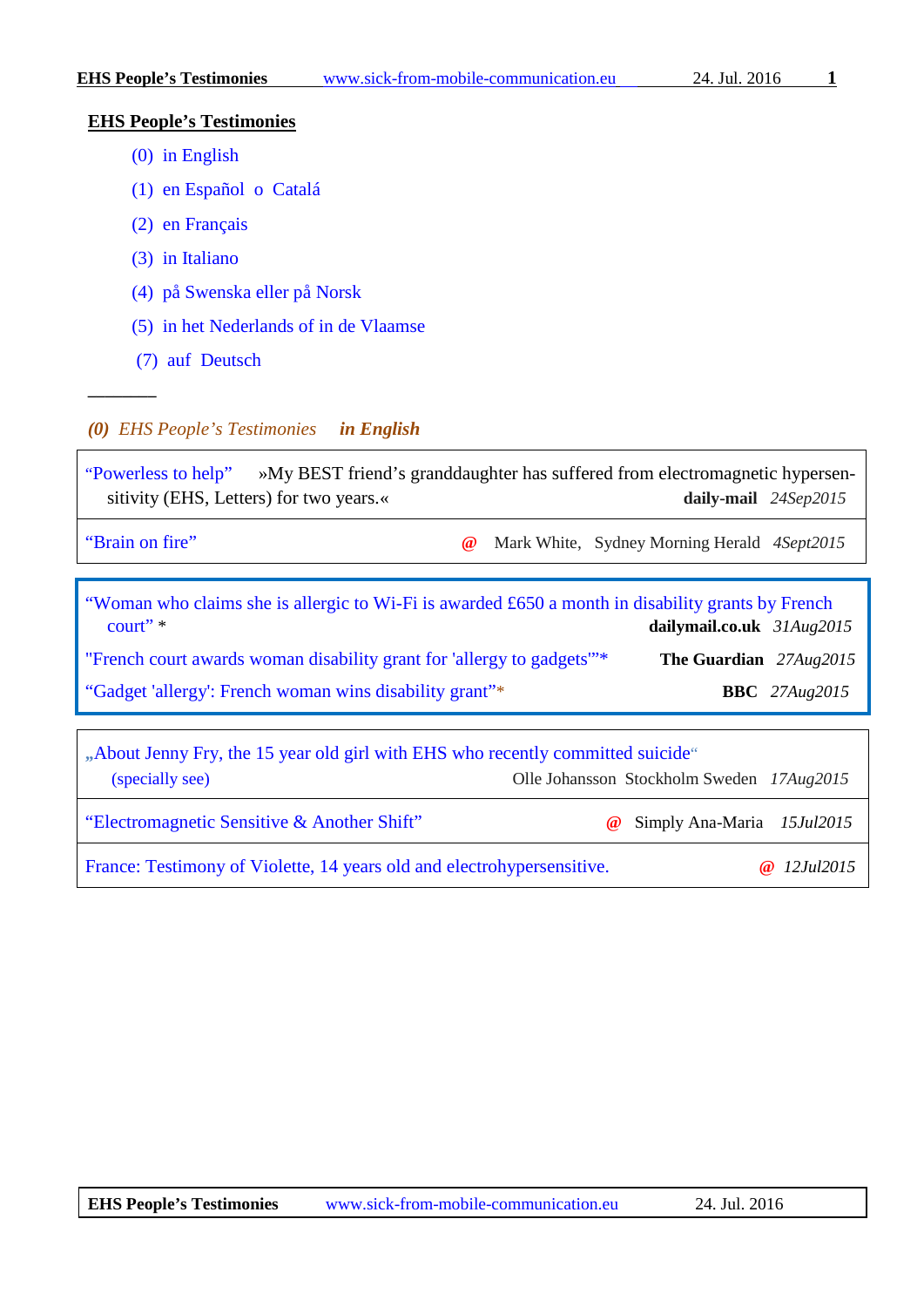## **EHS People's Testimonies**

- [\(0\) in English](#page-0-0)
- [\(1\) en Español o Catalá](#page-1-0)
- [\(2\) en Français](#page-2-0)
- [\(3\) in Italiano](#page-2-1)
- [\(4\) på Swenska eller på Norsk](#page-2-2)
- [\(5\) in het Nederlands of in de Vlaamse](#page-2-3)
- [\(7\) auf Deutsch](#page-2-4)

**––––––––**

## <span id="page-0-0"></span>*(0) EHS People's Testimonies in English*

["Powerless to help"](http://www.pressreader.com/uk/daily-mail/20150924/282845074816423/TextView)»My BEST friend's granddaughter has suffered from electromagnetic hypersensitivity (EHS, Letters) for two years.«<br>**daily-mail** 24Sep2015 ["Brain on fire"](http://www.smh.com.au/good-weekend/brain-on-fire-20150820-gj44nm.html) **@** Mark White, Sydney Morning Herald *4Sept2015* ["Woman who claims she is allergic to Wi-Fi is awarded £650 a month in disability grants by French](http://www.dailymail.co.uk/news/article-3217214/Woman-claims-allergic-Wi-Fi-handed-650-month-disability-grants-court-hearing-France.html?login#comments)  [court"](http://www.dailymail.co.uk/news/article-3217214/Woman-claims-allergic-Wi-Fi-handed-650-month-disability-grants-court-hearing-France.html?login#comments) \* **dailymail.co.uk** *31Aug2015* "French court awards [woman disability grant for 'allergy to gadgets'"\\*](http://www.theguardian.com/world/2015/aug/27/french-court-awards-woman-disability-grant-for-allergy-to-gadgets) **The Guardian** *27Aug2015* ["Gadget 'allergy': French woman wins disability grant"\\*](http://www.bbc.com/news/technology-34075146) **BBC** *27Aug2015* **"**[About Jenny Fry, the 15 year old girl with EHS who recently committed suicide"](http://www.buergerwelle.de:8080/helma/twoday/bwnews/stories/6745/) [\(specially see\)](https://vimeo.com/131798243) Olle Johansson Stockholm Sweden *17Aug2015* ["Electromagnetic Sensitive & Another Shift"](https://www.youtube.com/watch?v=FYka-vUqOxI) **@** [Simply Ana-Maria](https://www.youtube.com/channel/UC55QnHkKBlcTiBd7bTICJew) *15Jul2015* [France: Testimony of Violette, 14 years old and electrohypersensitive.](http://mieuxprevenir.blogspot.ch/2015/07/france-testimony-of-violette-14-years.html) **@** *12Jul2015*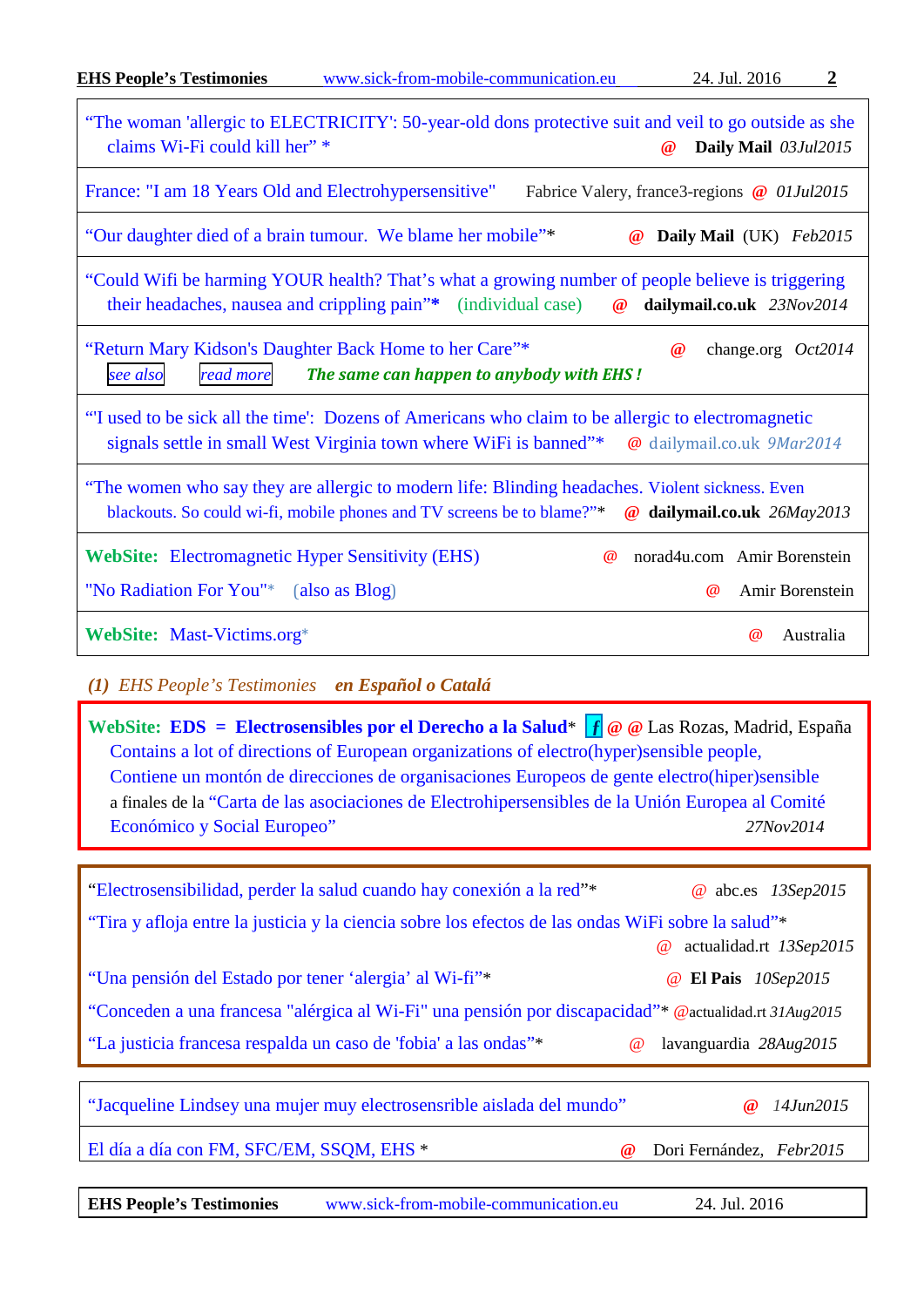| "The woman 'allergic to ELECTRICITY': 50-year-old dons protective suit and veil to go outside as she<br>claims Wi-Fi could kill her" *<br>Daily Mail 03Jul2015<br>$\omega$                                         |
|--------------------------------------------------------------------------------------------------------------------------------------------------------------------------------------------------------------------|
| France: "I am 18 Years Old and Electrohypersensitive"<br>Fabrice Valery, france3-regions @ 01Jul2015                                                                                                               |
| "Our daughter died of a brain tumour. We blame her mobile"*<br>Daily Mail (UK) Feb2015<br>$\omega$                                                                                                                 |
| "Could Wifi be harming YOUR health? That's what a growing number of people believe is triggering<br>their headaches, nausea and crippling pain"* (individual case)<br>$\omega$<br>dailymail.co.uk 23Nov2014        |
| "Return Mary Kidson's Daughter Back Home to her Care"*<br>$\omega$<br>change.org $Oct2014$<br>The same can happen to anybody with EHS!<br>read more<br>see also                                                    |
| "I used to be sick all the time": Dozens of Americans who claim to be allergic to electromagnetic<br>signals settle in small West Virginia town where WiFi is banned"*<br>@ dailymail.co.uk 9Mar2014               |
| "The women who say they are allergic to modern life: Blinding headaches. Violent sickness. Even<br>blackouts. So could wi-fi, mobile phones and TV screens be to blame?"*<br>$\omega$<br>dailymail.co.uk 26May2013 |
| <b>WebSite:</b> Electromagnetic Hyper Sensitivity (EHS)<br>norad4u.com Amir Borenstein<br>$\omega$                                                                                                                 |
| "No Radiation For You"* (also as Blog)<br>Amir Borenstein<br>$\omega$                                                                                                                                              |
| WebSite: Mast-Victims.org*<br>Australia<br>$\omega$                                                                                                                                                                |

<span id="page-1-0"></span>*(1) EHS People's Testimonies en Español o Catalá*

**WebSite: [EDS = Electrosensibles por el Derecho a la Salud](http://electrosensiblesderechosalud.org/)**\* **[ƒ](https://www.facebook.com/hotelsohnewlan) @ @** Las Rozas, Madrid, España [Contains a lot of directions of European organizations of electro\(hyper\)sensible people,](http://electrosensiblesderechosalud.org/carta-de-las-asociaciones-en-defensa-de-los-derechos-de-personas-electrohipersensibles-de-los-paises-de-la-union-europea-al-comite-economico-y-social-europeo-con-motivo-de-la-audiencia-sobre-electrohi/)  [Contiene un montón de direcciones de organisaciones Europeos de gente electro\(hiper\)sensible](http://electrosensiblesderechosalud.org/carta-de-las-asociaciones-en-defensa-de-los-derechos-de-personas-electrohipersensibles-de-los-paises-de-la-union-europea-al-comite-economico-y-social-europeo-con-motivo-de-la-audiencia-sobre-electrohi/) a finales de la ["Carta de las asociaciones de Electrohipersensibles de la Unión Europea al Comité](http://electrosensiblesderechosalud.org/carta-de-las-asociaciones-en-defensa-de-los-derechos-de-personas-electrohipersensibles-de-los-paises-de-la-union-europea-al-comite-economico-y-social-europeo-con-motivo-de-la-audiencia-sobre-electrohi/)  [Económico y Social Europeo"](http://electrosensiblesderechosalud.org/carta-de-las-asociaciones-en-defensa-de-los-derechos-de-personas-electrohipersensibles-de-los-paises-de-la-union-europea-al-comite-economico-y-social-europeo-con-motivo-de-la-audiencia-sobre-electrohi/) *27Nov2014*

["Electrosensibilidad, perder la salud cuando hay conexión a la red"](http://www.abc.es/sociedad/20150913/abci-electrosensibilidad-lado-oscuro-201509112014.html)\* @ abc.es *13Sep2015* ["Tira y afloja entre la justicia y la ciencia sobre los efectos de las ondas WiFi sobre la salud"\\*](http://actualidad.rt.com/ciencias/185752-polemica-justicia-cientificos-efectos-ondas) @ actualidad.rt *13Sep2015* "Una pensión del [Estado por tener 'alergia' al Wi-fi"\\*](http://elpais.com/elpais/2015/09/09/ciencia/1441819089_838483.html) @ **El Pais** *10Sep2015* ["Conceden a una francesa "alérgica al Wi-Fi" una pensión por discapacidad"\\*](http://actualidad.rt.com/ultima_hora/184676-francesa-alergica-wifi-pension-discapacidad) @actualidad.rt *31Aug2015* ["La justicia francesa respalda un caso de 'fobia' a las ondas"\\*](http://www.lavanguardia.com/pr/vida/20150827/54434993594/la-justicia-francesa-respalda-un-caso-de-fobia-a-las-ondas.html) @ lavanguardia *28Aug2015* ["Jacqueline Lindsey una mujer muy electrosensrible aislada del mundo"](http://www.gigahertz.es/blog/index.php?id=mtd4228u) **@** *14Jun2015* [El día a día con FM, SFC/EM, SSQM, EHS](http://afaramos.blogspot.com.es/) \* **@** Dori Fernández, *Febr2015* 

| <b>EHS People's Testimonies</b> | www.sick-from-mobile-communication.eu | 24. Jul. 2016 |
|---------------------------------|---------------------------------------|---------------|
|---------------------------------|---------------------------------------|---------------|